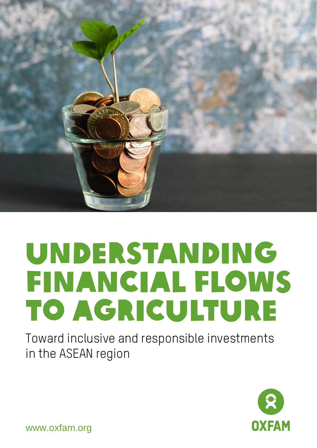

# UNDERSTANDING FINANCIAL FLOWS to Agriculture

Toward inclusive and responsible investments in the ASEAN region



www.oxfam.org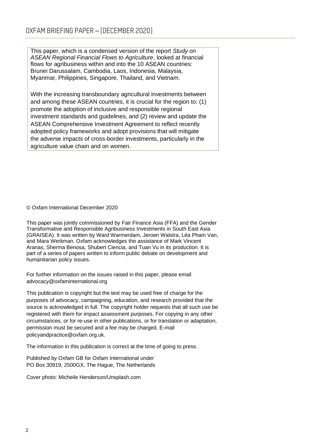This paper, which is a condensed version of the report *Study on ASEAN Regional Financial Flows to Agriculture*, looked at financial flows for agribusiness within and into the 10 ASEAN countries: Brunei Darussalam, Cambodia, Laos, Indonesia, Malaysia, Myanmar, Philippines, Singapore, Thailand, and Vietnam.

With the increasing transboundary agricultural investments between and among these ASEAN countries, it is crucial for the region to: (1) promote the adoption of inclusive and responsible regional investment standards and guidelines, and (2) review and update the ASEAN Comprehensive Investment Agreement to reflect recently adopted policy frameworks and adopt provisions that will mitigate the adverse impacts of cross-border investments, particularly in the agriculture value chain and on women.

© Oxfam International December 2020

This paper was jointly commissioned by Fair Finance Asia (FFA) and the Gender Transformative and Responsible Agribusiness Investments in South East Asia (GRAISEA). It was written by Ward Warmerdam, Jeroen Walstra, Léa Pham Van, and Mara Werkman. Oxfam acknowledges the assistance of Mark Vincent Aranas, Sherma Benosa, Shubert Ciencia, and Tuan Vu in its production. It is part of a series of papers written to inform public debate on development and humanitarian policy issues.

For further information on the issues raised in this paper, please email [advocacy@oxfaminternational.org](mailto:advocacy@oxfaminternational.org)

This publication is copyright but the text may be used free of charge for the purposes of advocacy, campaigning, education, and research provided that the source is acknowledged in full. The copyright holder requests that all such use be registered with them for impact assessment purposes. For copying in any other circumstances, or for re-use in other publications, or for translation or adaptation, permission must be secured and a fee may be charged. E-mail policyandpractice@oxfam.org.uk.

The information in this publication is correct at the time of going to press.

Published by Oxfam GB for Oxfam International under PO Box 30919, 2500GX, The Hague, The Netherlands

Cover photo: Micheile Henderson/Unsplash.com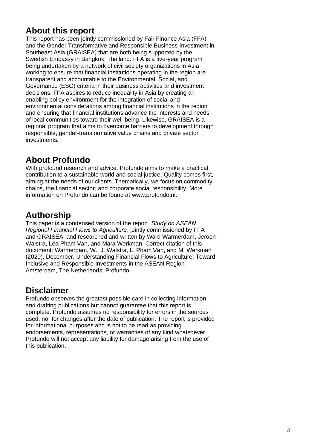### **About this report**

This report has been jointly commissioned by Fair Finance Asia (FFA) and the Gender Transformative and Responsible Business Investment in Southeast Asia (GRAISEA) that are both being supported by the Swedish Embassy in Bangkok, Thailand. FFA is a five-year program being undertaken by a network of civil society organizations in Asia working to ensure that financial institutions operating in the region are transparent and accountable to the Environmental, Social, and Governance (ESG) criteria in their business activities and investment decisions. FFA aspires to reduce inequality in Asia by creating an enabling policy environment for the integration of social and environmental considerations among financial institutions in the region and ensuring that financial institutions advance the interests and needs of local communities toward their well-being. Likewise, GRAISEA is a regional program that aims to overcome barriers to development through responsible, gender-transformative value chains and private sector investments.

### **About Profundo**

With profound research and advice, Profundo aims to make a practical contribution to a sustainable world and social justice. Quality comes first, aiming at the needs of our clients. Thematically, we focus on commodity chains, the financial sector, and corporate social responsibility. More information on Profundo can be found at [www.profundo.nl.](http://www.profundo.nl/)

### **Authorship**

This paper is a condensed version of the report, *Study on ASEAN Regional Financial Flows to Agriculture*, jointly commissioned by FFA and GRAISEA, and researched and written by Ward Warmerdam, Jeroen Walstra, Léa Pham Van, and Mara Werkman. Correct citation of this document: Warmerdam, W., J. Walstra, L. Pham Van, and M. Werkman (2020), December, Understanding Financial Flows to Agriculture: Toward Inclusive and Responsible Investments in the ASEAN Region*,* Amsterdam, The Netherlands: Profundo.

### **Disclaimer**

Profundo observes the greatest possible care in collecting information and drafting publications but cannot guarantee that this report is complete. Profundo assumes no responsibility for errors in the sources used, nor for changes after the date of publication. The report is provided for informational purposes and is not to be read as providing endorsements, representations, or warranties of any kind whatsoever. Profundo will not accept any liability for damage arising from the use of this publication.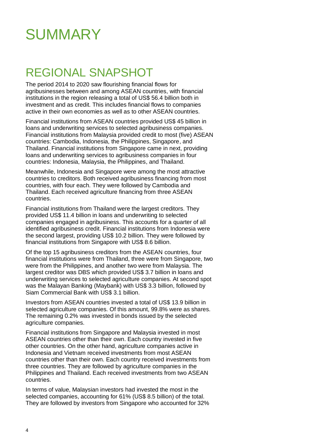

## REGIONAL SNAPSHOT

The period 2014 to 2020 saw flourishing financial flows for agribusinesses between and among ASEAN countries, with financial institutions in the region releasing a total of US\$ 56.4 billion both in investment and as credit. This includes financial flows to companies active in their own economies as well as to other ASEAN countries.

Financial institutions from ASEAN countries provided US\$ 45 billion in loans and underwriting services to selected agribusiness companies. Financial institutions from Malaysia provided credit to most (five) ASEAN countries: Cambodia, Indonesia, the Philippines, Singapore, and Thailand. Financial institutions from Singapore came in next, providing loans and underwriting services to agribusiness companies in four countries: Indonesia, Malaysia, the Philippines, and Thailand.

Meanwhile, Indonesia and Singapore were among the most attractive countries to creditors. Both received agribusiness financing from most countries, with four each. They were followed by Cambodia and Thailand. Each received agriculture financing from three ASEAN countries.

Financial institutions from Thailand were the largest creditors. They provided US\$ 11.4 billion in loans and underwriting to selected companies engaged in agribusiness. This accounts for a quarter of all identified agribusiness credit. Financial institutions from Indonesia were the second largest, providing US\$ 10.2 billion. They were followed by financial institutions from Singapore with US\$ 8.6 billion.

Of the top 15 agribusiness creditors from the ASEAN countries, four financial institutions were from Thailand, three were from Singapore, two were from the Philippines, and another two were from Malaysia. The largest creditor was DBS which provided US\$ 3.7 billion in loans and underwriting services to selected agriculture companies. At second spot was the Malayan Banking (Maybank) with US\$ 3.3 billion, followed by Siam Commercial Bank with US\$ 3.1 billion.

Investors from ASEAN countries invested a total of US\$ 13.9 billion in selected agriculture companies. Of this amount, 99.8% were as shares. The remaining 0.2% was invested in bonds issued by the selected agriculture companies.

Financial institutions from Singapore and Malaysia invested in most ASEAN countries other than their own. Each country invested in five other countries. On the other hand, agriculture companies active in Indonesia and Vietnam received investments from most ASEAN countries other than their own. Each country received investments from three countries. They are followed by agriculture companies in the Philippines and Thailand. Each received investments from two ASEAN countries.

In terms of value, Malaysian investors had invested the most in the selected companies, accounting for 61% (US\$ 8.5 billion) of the total. They are followed by investors from Singapore who accounted for 32%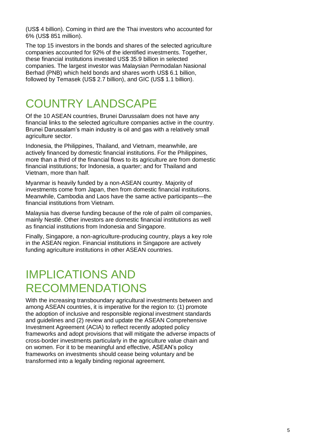(US\$ 4 billion). Coming in third are the Thai investors who accounted for 6% (US\$ 851 million).

The top 15 investors in the bonds and shares of the selected agriculture companies accounted for 92% of the identified investments. Together, these financial institutions invested US\$ 35.9 billion in selected companies. The largest investor was Malaysian Permodalan Nasional Berhad (PNB) which held bonds and shares worth US\$ 6.1 billion, followed by Temasek (US\$ 2.7 billion), and GIC (US\$ 1.1 billion).

## COUNTRY LANDSCAPE

Of the 10 ASEAN countries, Brunei Darussalam does not have any financial links to the selected agriculture companies active in the country. Brunei Darussalam's main industry is oil and gas with a relatively small agriculture sector.

Indonesia, the Philippines, Thailand, and Vietnam, meanwhile, are actively financed by domestic financial institutions. For the Philippines, more than a third of the financial flows to its agriculture are from domestic financial institutions; for Indonesia, a quarter; and for Thailand and Vietnam, more than half.

Myanmar is heavily funded by a non-ASEAN country. Majority of investments come from Japan, then from domestic financial institutions. Meanwhile, Cambodia and Laos have the same active participants—the financial institutions from Vietnam.

Malaysia has diverse funding because of the role of palm oil companies, mainly Nestlé. Other investors are domestic financial institutions as well as financial institutions from Indonesia and Singapore.

Finally, Singapore, a non-agriculture-producing country, plays a key role in the ASEAN region. Financial institutions in Singapore are actively funding agriculture institutions in other ASEAN countries.

## IMPLICATIONS AND RECOMMENDATIONS

With the increasing transboundary agricultural investments between and among ASEAN countries, it is imperative for the region to: (1) promote the adoption of inclusive and responsible regional investment standards and guidelines and (2) review and update the ASEAN Comprehensive Investment Agreement (ACIA) to reflect recently adopted policy frameworks and adopt provisions that will mitigate the adverse impacts of cross-border investments particularly in the agriculture value chain and on women. For it to be meaningful and effective, ASEAN's policy frameworks on investments should cease being voluntary and be transformed into a legally binding regional agreement.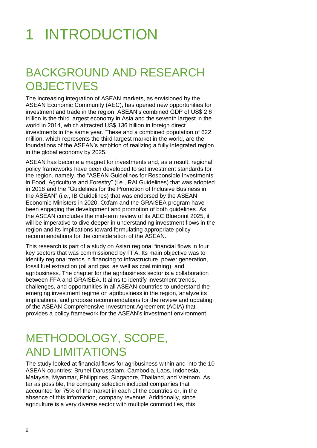## 1 INTRODUCTION

## BACKGROUND AND RESEARCH **OBJECTIVES**

The increasing integration of ASEAN markets, as envisioned by the ASEAN Economic Community (AEC), has opened new opportunities for investment and trade in the region. ASEAN's combined GDP of US\$ 2.6 trillion is the third largest economy in Asia and the seventh largest in the world in 2014, which attracted US\$ 136 billion in foreign direct investments in the same year. These and a combined population of 622 million, which represents the third largest market in the world, are the foundations of the ASEAN's ambition of realizing a fully integrated region in the global economy by 2025.

ASEAN has become a magnet for investments and, as a result, regional policy frameworks have been developed to set investment standards for the region, namely, the "ASEAN Guidelines for Responsible Investments in Food, Agriculture and Forestry" (i.e., RAI Guidelines) that was adopted in 2018 and the "Guidelines for the Promotion of Inclusive Business in the ASEAN" (i.e., IB Guidelines) that was endorsed by the ASEAN Economic Ministers in 2020. Oxfam and the GRAISEA program have been engaging the development and promotion of both guidelines. As the ASEAN concludes the mid-term review of its AEC Blueprint 2025, it will be imperative to dive deeper in understanding investment flows in the region and its implications toward formulating appropriate policy recommendations for the consideration of the ASEAN.

This research is part of a study on Asian regional financial flows in four key sectors that was commissioned by FFA. Its main objective was to identify regional trends in financing to infrastructure, power generation, fossil fuel extraction (oil and gas, as well as coal mining), and agribusiness. The chapter for the agribusiness sector is a collaboration between FFA and GRAISEA. It aims to identify investment trends, challenges, and opportunities in all ASEAN countries to understand the emerging investment regime on agribusiness in the region, analyze its implications, and propose recommendations for the review and updating of the ASEAN Comprehensive Investment Agreement (ACIA) that provides a policy framework for the ASEAN's investment environment.

## METHODOLOGY, SCOPE, AND LIMITATIONS

The study looked at financial flows for agribusiness within and into the 10 ASEAN countries: Brunei Darussalam, Cambodia, Laos, Indonesia, Malaysia, Myanmar, Philippines, Singapore, Thailand, and Vietnam. As far as possible, the company selection included companies that accounted for 75% of the market in each of the countries or, in the absence of this information, company revenue. Additionally, since agriculture is a very diverse sector with multiple commodities, this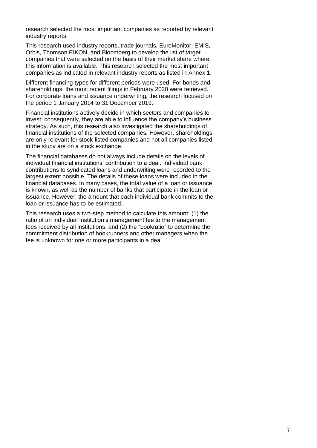research selected the most important companies as reported by relevant industry reports.

This research used industry reports, trade journals, EuroMonitor, EMIS, Orbis, Thomson EIKON, and Bloomberg to develop the list of target companies that were selected on the basis of their market share where this information is available. This research selected the most important companies as indicated in relevant industry reports as listed in Annex 1.

Different financing types for different periods were used. For bonds and shareholdings, the most recent filings in February 2020 were retrieved. For corporate loans and issuance underwriting, the research focused on the period 1 January 2014 to 31 December 2019.

Financial institutions actively decide in which sectors and companies to invest; consequently, they are able to influence the company's business strategy. As such, this research also investigated the shareholdings of financial institutions of the selected companies. However, shareholdings are only relevant for stock-listed companies and not all companies listed in the study are on a stock exchange.

The financial databases do not always include details on the levels of individual financial institutions' contribution to a deal. Individual bank contributions to syndicated loans and underwriting were recorded to the largest extent possible. The details of these loans were included in the financial databases. In many cases, the total value of a loan or issuance is known, as well as the number of banks that participate in the loan or issuance. However, the amount that each individual bank commits to the loan or issuance has to be estimated.

This research uses a two-step method to calculate this amount: (1) the ratio of an individual institution's management fee to the management fees received by all institutions, and (2) the "bookratio" to determine the commitment distribution of bookrunners and other managers when the fee is unknown for one or more participants in a deal.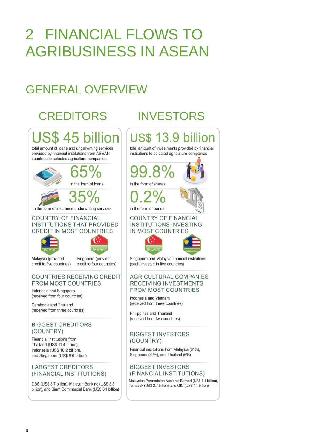## 2 FINANCIAL FLOWS TO AGRIBUSINESS IN ASEAN

## GENERAL OVERVIEW

## CREDITORS INVESTORS

## S\$ 45 billior total amount of loans and underwriting services provided by financial institutions from ASEAN countries to selected agriculture companies in the form of loans in the form of insurance underwriting services **COUNTRY OF FINANCIAL INSTITUTIONS THAT PROVIDED CREDIT IN MOST COUNTRIES** Malaysia (provided Singapore (provided

credit to five countries)

credit to four countries)

#### COUNTRIES RECEIVING CREDIT **FROM MOST COUNTRIES**

Indonesia and Singapore (received from four countries)

Cambodia and Thailand (received from three countries)

#### **BIGGEST CREDITORS** (COUNTRY)

Financial institutions from Thailand (US\$ 11.4 billion), Indonesia (US\$ 10.2 billion), and Singapore (US\$ 8.6 billion)

#### **LARGEST CREDITORS** (FINANCIAL INSTITUTIONS)

DBS (US\$ 3.7 billion), Malayan Banking (US\$ 3.3 billion), and Siam Commercial Bank (US\$ 3.1 billion)



#### **BIGGEST INVESTORS** (FINANCIAL INSTITUTIONS)

Malaysian Permodalan Nasional Berhad (US\$ 6.1 billion), Temasek (US\$ 2.7 billion), and GIC (US\$ 1.1 billion)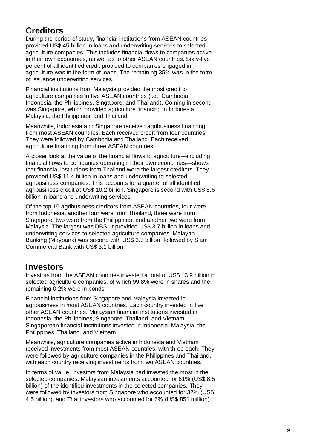### **Creditors**

During the period of study, financial institutions from ASEAN countries provided US\$ 45 billion in loans and underwriting services to selected agriculture companies. This includes financial flows to companies active in their own economies, as well as to other ASEAN countries. Sixty-five percent of all identified credit provided to companies engaged in agriculture was in the form of loans. The remaining 35% was in the form of issuance underwriting services.

Financial institutions from Malaysia provided the most credit to agriculture companies in five ASEAN countries (i.e., Cambodia, Indonesia, the Philippines, Singapore, and Thailand). Coming in second was Singapore, which provided agriculture financing in Indonesia, Malaysia, the Philippines, and Thailand.

Meanwhile, Indonesia and Singapore received agribusiness financing from most ASEAN countries. Each received credit from four countries. They were followed by Cambodia and Thailand. Each received agriculture financing from three ASEAN countries.

A closer look at the value of the financial flows to agriculture—including financial flows to companies operating in their own economies—shows that financial institutions from Thailand were the largest creditors. They provided US\$ 11.4 billion in loans and underwriting to selected agribusiness companies. This accounts for a quarter of all identified agribusiness credit at US\$ 10.2 billion. Singapore is second with US\$ 8.6 billion in loans and underwriting services.

Of the top 15 agribusiness creditors from ASEAN countries, four were from Indonesia, another four were from Thailand, three were from Singapore, two were from the Philippines, and another two were from Malaysia. The largest was DBS. It provided US\$ 3.7 billion in loans and underwriting services to selected agriculture companies. Malayan Banking (Maybank) was second with US\$ 3.3 billion, followed by Siam Commercial Bank with US\$ 3.1 billion.

### **Investors**

Investors from the ASEAN countries invested a total of US\$ 13.9 billion in selected agriculture companies, of which 99.8% were in shares and the remaining 0.2% were in bonds.

Financial institutions from Singapore and Malaysia invested in agribusiness in most ASEAN countries. Each country invested in five other ASEAN countries. Malaysian financial institutions invested in Indonesia, the Philippines, Singapore, Thailand, and Vietnam. Singaporean financial institutions invested in Indonesia, Malaysia, the Philippines, Thailand, and Vietnam.

Meanwhile, agriculture companies active in Indonesia and Vietnam received investments from most ASEAN countries, with three each. They were followed by agriculture companies in the Philippines and Thailand, with each country receiving investments from two ASEAN countries.

In terms of value, investors from Malaysia had invested the most in the selected companies. Malaysian investments accounted for 61% (US\$ 8.5 billion) of the identified investments in the selected companies. They were followed by investors from Singapore who accounted for 32% (US\$ 4.5 billion), and Thai investors who accounted for 6% (US\$ 851 million).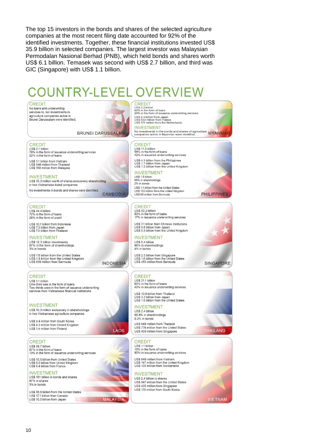The top 15 investors in the bonds and shares of the selected agriculture companies at the most recent filing date accounted for 92% of the identified investments. Together, these financial institutions invested US\$ 35.9 billion in selected companies. The largest investor was Malaysian Permodalan Nasional Berhad (PNB), which held bonds and shares worth US\$ 6.1 billion. Temasek was second with US\$ 2.7 billion, and third was GIC (Singapore) with US\$ 1.1 billion.

## **COUNTRY-LEVEL OVERVIEW**

CREDIT

No loans and underwriting services to, nor investments in agriculture companies active in Brunei Darussalam were identified



**INDONESIA** 

**LAOS** 

**MALAYSIA** 

CREDIT<br>USS 3.2 billion<br>80% in the form of loans<br>20% in the form of issuance underwriting services US\$ 2.4 billion from Japan<br>US\$ 533 million from France<br>US\$ 174 million from the Netherlands **INVESTMENT** No investments in the bonds and shares of agriculture<br>companies active in Myanmar were identified.

**BRUNEI DARUSSALAM** 

#### **CREDIT**

US\$ 2.1 billion<br>78% in the form of issuance underwriting services<br>22% in the form of loans

US\$ 1.1 billion from Vietnam US\$ 546 million from Thailand<br>US\$ 159 million from Malaysia

#### **INVESTMENT**

US\$ 15.3 million worth of shares exclusively shareholding in two Vietnamese-listed companies No investments in bonds and shares were identified **CAMBODIA** 

#### CREDIT US\$ 44.4 billion

72% in the form of loans 28% in the form of credit

US\$ 10.1 billion from Indonesia US\$ 7.3 billion from Japan<br>US\$ 7.0 billion from Thailand

#### **INVESTMENT**

US\$ 12.3 billion investments 97% in the form of shareholdings 3% in bonds

US\$ 7.0 billion from the United State US\$ 1.9 billion from the United Kingdom<br>US\$ 619 million from Bermuda

#### **CREDIT**

US\$ 1.1 billion One-third was in the form of loans Two-thirds were in the form of issuance underwriting<br>services from Vietnamese financial institutions

#### **INVESTMENT**

US\$ 15.3 million exclusively in shareholdings in two Vietnamese agriculture companies

US\$ 9.4 million from South Korea US\$ 4.2 million from United Kingdom US\$ 1.4 million from Finland

**CREDIT** 

US\$ 58.7 billion 87% in the form of loans 13% in the form of issuance underwriting services

US\$ 10.5 billion from United States<br>US\$ 8.0 billion from United Kingdom<br>US\$ 6.4 billion from France

#### **INVESTMENT** US\$ 151 billion in bonds and shares 97% in shares 3% in honds

US\$ 85.6 billion from the United States US\$ 17.1 billion from Canada US\$ 10.5 billion from Japan

### **CREDIT** US\$ 11.3 billion<br>58% in the form of loans<br>42% in issuance underwriting services

US\$ 4.1 billion from the Philippines US\$ 1.7 billion from Japan<br>US\$ 1.2 billion from the United Kingdom

#### **INVESTMENT**

US\$ 1.5 billion 98% in shareholdings<br>2% in bonds US\$ 1.1 billion from the United States<br>US\$ 122 million from the United Kingdom<br>US\$ 89 million from Bermuda

### CREDIT

US\$ 53.2 billion 83% in the form of loans 17% in issuance underwriting services

US\$ 7.1 billion from Chinese institutions US\$ 5.6 billion from Japan<br>US\$ 5.5 billion from the United Kingdom

#### **INVESTMENT**

US\$ 5.4 billion 96% in shareholdings 4% in bonds

US\$ 2.5 billion from Singapore US\$ 2.5 billion from Singapore<br>US\$ 1.6 billion from the United States<br>US\$ 455 million from Bermuda

#### **CREDIT**

US\$ 21.1 billion<br>60% in the form of loans 40% in issuance underwriting services

US\$ 10.9 billion from Thailand US\$ 3.3 billion from Japan<br>US\$ 3.3 billion from Japan<br>US\$ 1.5 billion from the United States

**INVESTMENT** US\$ 2.4 billion 99.8% in shareholdings 0.2% in bonds US\$ 846 million from Thailand US\$ 774 million from the United States US\$ 409 million from Singapore

#### **CREDIT**

US\$ 1.1 billion 10% in the form of loans<br>10% in the form of loans<br>90% in issuance underwriting services

US\$ 646 million from Vietnam US\$ 147 million from the United Kingdom<br>US\$ 147 million from the United Kingdom<br>US\$ 105 million from Switzerland

#### **INVESTMENT**

US\$ 2.4 billion in shares US\$ 947 million from the United States US\$ 435 million from Singapore US\$ 170 million from South Korea

**VIETNAM** 



**PHILIPPINES** 



SINGAPORE

**THAILAND**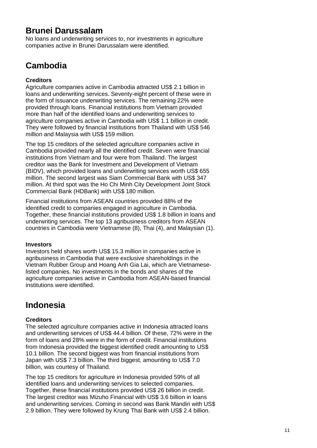### **Brunei Darussalam**

No loans and underwriting services to, nor investments in agriculture companies active in Brunei Darussalam were identified.

## **Cambodia**

#### **Creditors**

Agriculture companies active in Cambodia attracted US\$ 2.1 billion in loans and underwriting services. Seventy-eight percent of these were in the form of issuance underwriting services. The remaining 22% were provided through loans. Financial institutions from Vietnam provided more than half of the identified loans and underwriting services to agriculture companies active in Cambodia with US\$ 1.1 billion in credit. They were followed by financial institutions from Thailand with US\$ 546 million and Malaysia with US\$ 159 million.

The top 15 creditors of the selected agriculture companies active in Cambodia provided nearly all the identified credit. Seven were financial institutions from Vietnam and four were from Thailand. The largest creditor was the Bank for Investment and Development of Vietnam (BIDV), which provided loans and underwriting services worth US\$ 655 million. The second largest was Siam Commercial Bank with US\$ 347 million. At third spot was the Ho Chi Minh City Development Joint Stock Commercial Bank (HDBank) with US\$ 180 million.

Financial institutions from ASEAN countries provided 88% of the identified credit to companies engaged in agriculture in Cambodia. Together, these financial institutions provided US\$ 1.8 billion in loans and underwriting services. The top 13 agribusiness creditors from ASEAN countries in Cambodia were Vietnamese (8), Thai (4), and Malaysian (1).

#### **Investors**

Investors held shares worth US\$ 15.3 million in companies active in agribusiness in Cambodia that were exclusive shareholdings in the Vietnam Rubber Group and Hoang Anh Gia Lai, which are Vietnameselisted companies. No investments in the bonds and shares of the agriculture companies active in Cambodia from ASEAN-based financial institutions were identified.

### **Indonesia**

#### **Creditors**

The selected agriculture companies active in Indonesia attracted loans and underwriting services of US\$ 44.4 billion. Of these, 72% were in the form of loans and 28% were in the form of credit. Financial institutions from Indonesia provided the biggest identified credit amounting to US\$ 10.1 billion. The second biggest was from financial institutions from Japan with US\$ 7.3 billion. The third biggest, amounting to US\$ 7.0 billion, was courtesy of Thailand.

The top 15 creditors for agriculture in Indonesia provided 59% of all identified loans and underwriting services to selected companies. Together, these financial institutions provided US\$ 26 billion in credit. The largest creditor was Mizuho Financial with US\$ 3.6 billion in loans and underwriting services. Coming in second was Bank Mandiri with US\$ 2.9 billion. They were followed by Krung Thai Bank with US\$ 2.4 billion.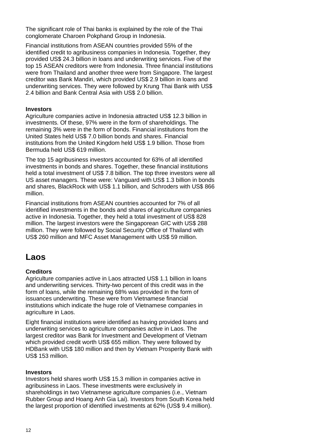The significant role of Thai banks is explained by the role of the Thai conglomerate Charoen Pokphand Group in Indonesia.

Financial institutions from ASEAN countries provided 55% of the identified credit to agribusiness companies in Indonesia. Together, they provided US\$ 24.3 billion in loans and underwriting services. Five of the top 15 ASEAN creditors were from Indonesia. Three financial institutions were from Thailand and another three were from Singapore. The largest creditor was Bank Mandiri, which provided US\$ 2.9 billion in loans and underwriting services. They were followed by Krung Thai Bank with US\$ 2.4 billion and Bank Central Asia with US\$ 2.0 billion.

#### **Investors**

Agriculture companies active in Indonesia attracted US\$ 12.3 billion in investments. Of these, 97% were in the form of shareholdings. The remaining 3% were in the form of bonds. Financial institutions from the United States held US\$ 7.0 billion bonds and shares. Financial institutions from the United Kingdom held US\$ 1.9 billion. Those from Bermuda held US\$ 619 million.

The top 15 agribusiness investors accounted for 63% of all identified investments in bonds and shares. Together, these financial institutions held a total investment of US\$ 7.8 billion. The top three investors were all US asset managers. These were: Vanguard with US\$ 1.3 billion in bonds and shares, BlackRock with US\$ 1.1 billion, and Schroders with US\$ 866 million.

Financial institutions from ASEAN countries accounted for 7% of all identified investments in the bonds and shares of agriculture companies active in Indonesia. Together, they held a total investment of US\$ 828 million. The largest investors were the Singaporean GIC with US\$ 288 million. They were followed by Social Security Office of Thailand with US\$ 260 million and MFC Asset Management with US\$ 59 million.

### **Laos**

#### **Creditors**

Agriculture companies active in Laos attracted US\$ 1.1 billion in loans and underwriting services. Thirty-two percent of this credit was in the form of loans, while the remaining 68% was provided in the form of issuances underwriting. These were from Vietnamese financial institutions which indicate the huge role of Vietnamese companies in agriculture in Laos.

Eight financial institutions were identified as having provided loans and underwriting services to agriculture companies active in Laos. The largest creditor was Bank for Investment and Development of Vietnam which provided credit worth US\$ 655 million. They were followed by HDBank with US\$ 180 million and then by Vietnam Prosperity Bank with US\$ 153 million.

#### **Investors**

Investors held shares worth US\$ 15.3 million in companies active in agribusiness in Laos. These investments were exclusively in shareholdings in two Vietnamese agriculture companies (i.e., Vietnam Rubber Group and Hoang Anh Gia Lai). Investors from South Korea held the largest proportion of identified investments at 62% (US\$ 9.4 million).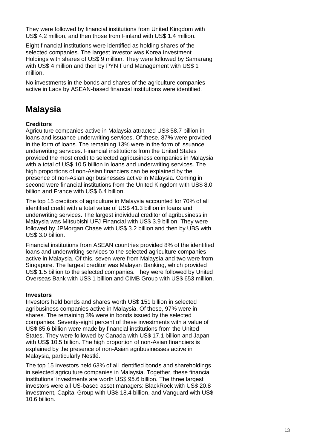They were followed by financial institutions from United Kingdom with US\$ 4.2 million, and then those from Finland with US\$ 1.4 million.

Eight financial institutions were identified as holding shares of the selected companies. The largest investor was Korea Investment Holdings with shares of US\$ 9 million. They were followed by Samarang with US\$ 4 million and then by PYN Fund Management with US\$ 1 million.

No investments in the bonds and shares of the agriculture companies active in Laos by ASEAN-based financial institutions were identified.

### **Malaysia**

#### **Creditors**

Agriculture companies active in Malaysia attracted US\$ 58.7 billion in loans and issuance underwriting services. Of these, 87% were provided in the form of loans. The remaining 13% were in the form of issuance underwriting services. Financial institutions from the United States provided the most credit to selected agribusiness companies in Malaysia with a total of US\$ 10.5 billion in loans and underwriting services. The high proportions of non-Asian financiers can be explained by the presence of non-Asian agribusinesses active in Malaysia. Coming in second were financial institutions from the United Kingdom with US\$ 8.0 billion and France with US\$ 6.4 billion.

The top 15 creditors of agriculture in Malaysia accounted for 70% of all identified credit with a total value of US\$ 41.3 billion in loans and underwriting services. The largest individual creditor of agribusiness in Malaysia was Mitsubishi UFJ Financial with US\$ 3.9 billion. They were followed by JPMorgan Chase with US\$ 3.2 billion and then by UBS with US\$ 3.0 billion.

Financial institutions from ASEAN countries provided 8% of the identified loans and underwriting services to the selected agriculture companies active in Malaysia. Of this, seven were from Malaysia and two were from Singapore. The largest creditor was Malayan Banking, which provided US\$ 1.5 billion to the selected companies. They were followed by United Overseas Bank with US\$ 1 billion and CIMB Group with US\$ 653 million.

#### **Investors**

Investors held bonds and shares worth US\$ 151 billion in selected agribusiness companies active in Malaysia. Of these, 97% were in shares. The remaining 3% were in bonds issued by the selected companies. Seventy-eight percent of these investments with a value of US\$ 85.6 billion were made by financial institutions from the United States. They were followed by Canada with US\$ 17.1 billion and Japan with US\$ 10.5 billion. The high proportion of non-Asian financiers is explained by the presence of non-Asian agribusinesses active in Malaysia, particularly Nestlé.

The top 15 investors held 63% of all identified bonds and shareholdings in selected agriculture companies in Malaysia. Together, these financial institutions' investments are worth US\$ 95.6 billion. The three largest investors were all US-based asset managers: BlackRock with US\$ 20.8 investment, Capital Group with US\$ 18.4 billion, and Vanguard with US\$ 10.6 billion.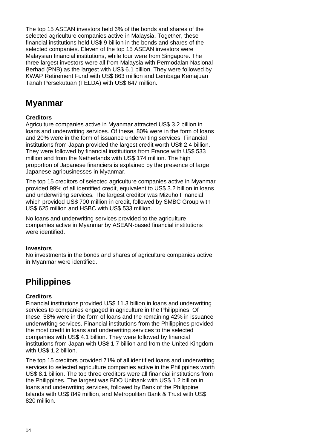The top 15 ASEAN investors held 6% of the bonds and shares of the selected agriculture companies active in Malaysia. Together, these financial institutions held US\$ 9 billion in the bonds and shares of the selected companies. Eleven of the top 15 ASEAN investors were Malaysian financial institutions, while four were from Singapore. The three largest investors were all from Malaysia with Permodalan Nasional Berhad (PNB) as the largest with US\$ 6.1 billion. They were followed by KWAP Retirement Fund with US\$ 863 million and Lembaga Kemajuan Tanah Persekutuan (FELDA) with US\$ 647 million.

### **Myanmar**

#### **Creditors**

Agriculture companies active in Myanmar attracted US\$ 3.2 billion in loans and underwriting services. Of these, 80% were in the form of loans and 20% were in the form of issuance underwriting services. Financial institutions from Japan provided the largest credit worth US\$ 2.4 billion. They were followed by financial institutions from France with US\$ 533 million and from the Netherlands with US\$ 174 million. The high proportion of Japanese financiers is explained by the presence of large Japanese agribusinesses in Myanmar.

The top 15 creditors of selected agriculture companies active in Myanmar provided 99% of all identified credit, equivalent to US\$ 3.2 billion in loans and underwriting services. The largest creditor was Mizuho Financial which provided US\$ 700 million in credit, followed by SMBC Group with US\$ 625 million and HSBC with US\$ 533 million.

No loans and underwriting services provided to the agriculture companies active in Myanmar by ASEAN-based financial institutions were identified.

#### **Investors**

No investments in the bonds and shares of agriculture companies active in Myanmar were identified.

### **Philippines**

#### **Creditors**

Financial institutions provided US\$ 11.3 billion in loans and underwriting services to companies engaged in agriculture in the Philippines. Of these, 58% were in the form of loans and the remaining 42% in issuance underwriting services. Financial institutions from the Philippines provided the most credit in loans and underwriting services to the selected companies with US\$ 4.1 billion. They were followed by financial institutions from Japan with US\$ 1.7 billion and from the United Kingdom with US\$ 1.2 billion.

The top 15 creditors provided 71% of all identified loans and underwriting services to selected agriculture companies active in the Philippines worth US\$ 8.1 billion. The top three creditors were all financial institutions from the Philippines. The largest was BDO Unibank with US\$ 1.2 billion in loans and underwriting services, followed by Bank of the Philippine Islands with US\$ 849 million, and Metropolitan Bank & Trust with US\$ 820 million.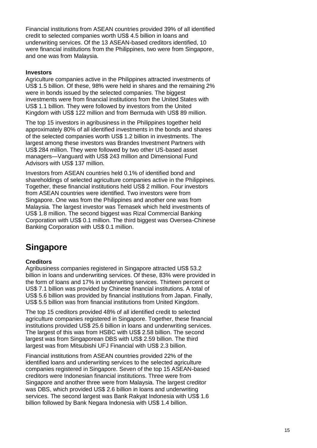Financial institutions from ASEAN countries provided 39% of all identified credit to selected companies worth US\$ 4.5 billion in loans and underwriting services. Of the 13 ASEAN-based creditors identified, 10 were financial institutions from the Philippines, two were from Singapore, and one was from Malaysia.

#### **Investors**

Agriculture companies active in the Philippines attracted investments of US\$ 1.5 billion. Of these, 98% were held in shares and the remaining 2% were in bonds issued by the selected companies. The biggest investments were from financial institutions from the United States with US\$ 1.1 billion. They were followed by investors from the United Kingdom with US\$ 122 million and from Bermuda with US\$ 89 million.

The top 15 investors in agribusiness in the Philippines together held approximately 80% of all identified investments in the bonds and shares of the selected companies worth US\$ 1.2 billion in investments. The largest among these investors was Brandes Investment Partners with US\$ 284 million. They were followed by two other US-based asset managers—Vanguard with US\$ 243 million and Dimensional Fund Advisors with US\$ 137 million.

Investors from ASEAN countries held 0.1% of identified bond and shareholdings of selected agriculture companies active in the Philippines. Together, these financial institutions held US\$ 2 million. Four investors from ASEAN countries were identified. Two investors were from Singapore. One was from the Philippines and another one was from Malaysia. The largest investor was Temasek which held investments of US\$ 1.8 million. The second biggest was Rizal Commercial Banking Corporation with US\$ 0.1 million. The third biggest was Oversea-Chinese Banking Corporation with US\$ 0.1 million.

### **Singapore**

#### **Creditors**

Agribusiness companies registered in Singapore attracted US\$ 53.2 billion in loans and underwriting services. Of these, 83% were provided in the form of loans and 17% in underwriting services. Thirteen percent or US\$ 7.1 billion was provided by Chinese financial institutions. A total of US\$ 5.6 billion was provided by financial institutions from Japan. Finally, US\$ 5.5 billion was from financial institutions from United Kingdom.

The top 15 creditors provided 48% of all identified credit to selected agriculture companies registered in Singapore. Together, these financial institutions provided US\$ 25.6 billion in loans and underwriting services. The largest of this was from HSBC with US\$ 2.58 billion. The second largest was from Singaporean DBS with US\$ 2.59 billion. The third largest was from Mitsubishi UFJ Financial with US\$ 2.3 billion.

Financial institutions from ASEAN countries provided 22% of the identified loans and underwriting services to the selected agriculture companies registered in Singapore. Seven of the top 15 ASEAN-based creditors were Indonesian financial institutions. Three were from Singapore and another three were from Malaysia. The largest creditor was DBS, which provided US\$ 2.6 billion in loans and underwriting services. The second largest was Bank Rakyat Indonesia with US\$ 1.6 billion followed by Bank Negara Indonesia with US\$ 1.4 billion.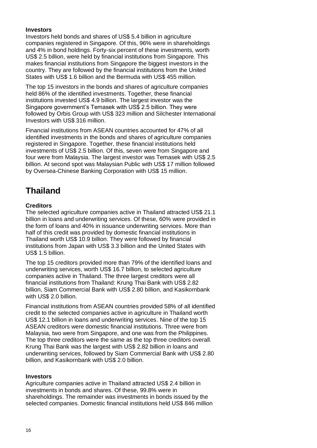#### **Investors**

Investors held bonds and shares of US\$ 5.4 billion in agriculture companies registered in Singapore. Of this, 96% were in shareholdings and 4% in bond holdings. Forty-six percent of these investments, worth US\$ 2.5 billion, were held by financial institutions from Singapore. This makes financial institutions from Singapore the biggest investors in the country. They are followed by the financial institutions from the United States with US\$ 1.6 billion and the Bermuda with US\$ 455 million.

The top 15 investors in the bonds and shares of agriculture companies held 86% of the identified investments. Together, these financial institutions invested US\$ 4.9 billion. The largest investor was the Singapore government's Temasek with US\$ 2.5 billion. They were followed by Orbis Group with US\$ 323 million and Silchester International Investors with US\$ 316 million.

Financial institutions from ASEAN countries accounted for 47% of all identified investments in the bonds and shares of agriculture companies registered in Singapore. Together, these financial institutions held investments of US\$ 2.5 billion. Of this, seven were from Singapore and four were from Malaysia. The largest investor was Temasek with US\$ 2.5 billion. At second spot was Malaysian Public with US\$ 17 million followed by Oversea-Chinese Banking Corporation with US\$ 15 million.

### **Thailand**

#### **Creditors**

The selected agriculture companies active in Thailand attracted US\$ 21.1 billion in loans and underwriting services. Of these, 60% were provided in the form of loans and 40% in issuance underwriting services. More than half of this credit was provided by domestic financial institutions in Thailand worth US\$ 10.9 billion. They were followed by financial institutions from Japan with US\$ 3.3 billion and the United States with US\$ 1.5 billion.

The top 15 creditors provided more than 79% of the identified loans and underwriting services, worth US\$ 16.7 billion, to selected agriculture companies active in Thailand. The three largest creditors were all financial institutions from Thailand: Krung Thai Bank with US\$ 2.82 billion, Siam Commercial Bank with US\$ 2.80 billion, and Kasikornbank with US\$ 2.0 billion.

Financial institutions from ASEAN countries provided 58% of all identified credit to the selected companies active in agriculture in Thailand worth US\$ 12.1 billion in loans and underwriting services. Nine of the top 15 ASEAN creditors were domestic financial institutions. Three were from Malaysia, two were from Singapore, and one was from the Philippines. The top three creditors were the same as the top three creditors overall. Krung Thai Bank was the largest with US\$ 2.82 billion in loans and underwriting services, followed by Siam Commercial Bank with US\$ 2.80 billion, and Kasikornbank with US\$ 2.0 billion.

#### **Investors**

Agriculture companies active in Thailand attracted US\$ 2.4 billion in investments in bonds and shares. Of these, 99.8% were in shareholdings. The remainder was investments in bonds issued by the selected companies. Domestic financial institutions held US\$ 846 million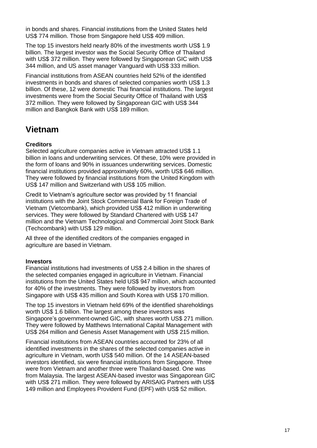in bonds and shares. Financial institutions from the United States held US\$ 774 million. Those from Singapore held US\$ 409 million.

The top 15 investors held nearly 80% of the investments worth US\$ 1.9 billion. The largest investor was the Social Security Office of Thailand with US\$ 372 million. They were followed by Singaporean GIC with US\$ 344 million, and US asset manager Vanguard with US\$ 333 million.

Financial institutions from ASEAN countries held 52% of the identified investments in bonds and shares of selected companies worth US\$ 1.3 billion. Of these, 12 were domestic Thai financial institutions. The largest investments were from the Social Security Office of Thailand with US\$ 372 million. They were followed by Singaporean GIC with US\$ 344 million and Bangkok Bank with US\$ 189 million.

### **Vietnam**

#### **Creditors**

Selected agriculture companies active in Vietnam attracted US\$ 1.1 billion in loans and underwriting services. Of these, 10% were provided in the form of loans and 90% in issuances underwriting services. Domestic financial institutions provided approximately 60%, worth US\$ 646 million. They were followed by financial institutions from the United Kingdom with US\$ 147 million and Switzerland with US\$ 105 million.

Credit to Vietnam's agriculture sector was provided by 11 financial institutions with the Joint Stock Commercial Bank for Foreign Trade of Vietnam (Vietcombank), which provided US\$ 412 million in underwriting services. They were followed by Standard Chartered with US\$ 147 million and the Vietnam Technological and Commercial Joint Stock Bank (Techcombank) with US\$ 129 million.

All three of the identified creditors of the companies engaged in agriculture are based in Vietnam.

#### **Investors**

Financial institutions had investments of US\$ 2.4 billion in the shares of the selected companies engaged in agriculture in Vietnam. Financial institutions from the United States held US\$ 947 million, which accounted for 40% of the investments. They were followed by investors from Singapore with US\$ 435 million and South Korea with US\$ 170 million.

The top 15 investors in Vietnam held 69% of the identified shareholdings worth US\$ 1.6 billion. The largest among these investors was Singapore's government-owned GIC, with shares worth US\$ 271 million. They were followed by Matthews International Capital Management with US\$ 264 million and Genesis Asset Management with US\$ 215 million.

Financial institutions from ASEAN countries accounted for 23% of all identified investments in the shares of the selected companies active in agriculture in Vietnam, worth US\$ 540 million. Of the 14 ASEAN-based investors identified, six were financial institutions from Singapore. Three were from Vietnam and another three were Thailand-based. One was from Malaysia. The largest ASEAN-based investor was Singaporean GIC with US\$ 271 million. They were followed by ARISAIG Partners with US\$ 149 million and Employees Provident Fund (EPF) with US\$ 52 million.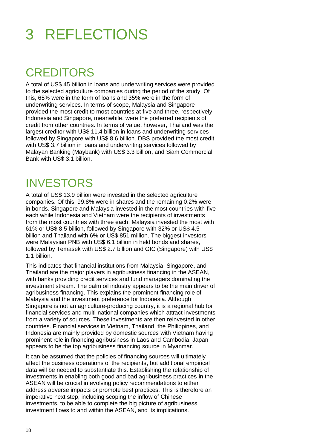## 3 REFLECTIONS

## **CREDITORS**

A total of US\$ 45 billion in loans and underwriting services were provided to the selected agriculture companies during the period of the study. Of this, 65% were in the form of loans and 35% were in the form of underwriting services. In terms of scope, Malaysia and Singapore provided the most credit to most countries at five and three, respectively. Indonesia and Singapore, meanwhile, were the preferred recipients of credit from other countries. In terms of value, however, Thailand was the largest creditor with US\$ 11.4 billion in loans and underwriting services followed by Singapore with US\$ 8.6 billion. DBS provided the most credit with US\$ 3.7 billion in loans and underwriting services followed by Malayan Banking (Maybank) with US\$ 3.3 billion, and Siam Commercial Bank with US\$ 3.1 billion.

## INVESTORS

A total of US\$ 13.9 billion were invested in the selected agriculture companies. Of this, 99.8% were in shares and the remaining 0.2% were in bonds. Singapore and Malaysia invested in the most countries with five each while Indonesia and Vietnam were the recipients of investments from the most countries with three each. Malaysia invested the most with 61% or US\$ 8.5 billion, followed by Singapore with 32% or US\$ 4.5 billion and Thailand with 6% or US\$ 851 million. The biggest investors were Malaysian PNB with US\$ 6.1 billion in held bonds and shares, followed by Temasek with US\$ 2.7 billion and GIC (Singapore) with US\$ 1.1 billion.

This indicates that financial institutions from Malaysia, Singapore, and Thailand are the major players in agribusiness financing in the ASEAN, with banks providing credit services and fund managers dominating the investment stream. The palm oil industry appears to be the main driver of agribusiness financing. This explains the prominent financing role of Malaysia and the investment preference for Indonesia. Although Singapore is not an agriculture-producing country, it is a regional hub for financial services and multi-national companies which attract investments from a variety of sources. These investments are then reinvested in other countries. Financial services in Vietnam, Thailand, the Philippines, and Indonesia are mainly provided by domestic sources with Vietnam having prominent role in financing agribusiness in Laos and Cambodia. Japan appears to be the top agribusiness financing source in Myanmar.

It can be assumed that the policies of financing sources will ultimately affect the business operations of the recipients, but additional empirical data will be needed to substantiate this. Establishing the relationship of investments in enabling both good and bad agribusiness practices in the ASEAN will be crucial in evolving policy recommendations to either address adverse impacts or promote best practices. This is therefore an imperative next step, including scoping the inflow of Chinese investments, to be able to complete the big picture of agribusiness investment flows to and within the ASEAN, and its implications.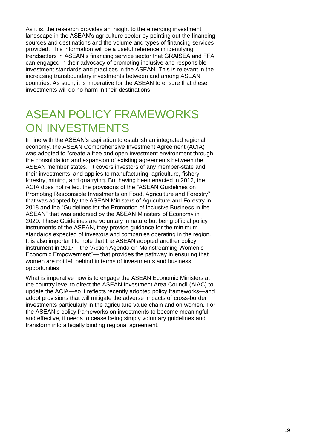As it is, the research provides an insight to the emerging investment landscape in the ASEAN's agriculture sector by pointing out the financing sources and destinations and the volume and types of financing services provided. This information will be a useful reference in identifying trendsetters in ASEAN's financing service sector that GRAISEA and FFA can engaged in their advocacy of promoting inclusive and responsible investment standards and practices in the ASEAN. This is relevant in the increasing transboundary investments between and among ASEAN countries. As such, it is imperative for the ASEAN to ensure that these investments will do no harm in their destinations.

## ASEAN POLICY FRAMEWORKS ON INVESTMENTS

In line with the ASEAN's aspiration to establish an integrated regional economy, the ASEAN Comprehensive Investment Agreement (ACIA) was adopted to "create a free and open investment environment through the consolidation and expansion of existing agreements between the ASEAN member states." It covers investors of any member-state and their investments, and applies to manufacturing, agriculture, fishery, forestry, mining, and quarrying. But having been enacted in 2012, the ACIA does not reflect the provisions of the "ASEAN Guidelines on Promoting Responsible Investments on Food, Agriculture and Forestry" that was adopted by the ASEAN Ministers of Agriculture and Forestry in 2018 and the "Guidelines for the Promotion of Inclusive Business in the ASEAN" that was endorsed by the ASEAN Ministers of Economy in 2020. These Guidelines are voluntary in nature but being official policy instruments of the ASEAN, they provide guidance for the minimum standards expected of investors and companies operating in the region. It is also important to note that the ASEAN adopted another policy instrument in 2017—the "Action Agenda on Mainstreaming Women's Economic Empowerment"— that provides the pathway in ensuring that women are not left behind in terms of investments and business opportunities.

What is imperative now is to engage the ASEAN Economic Ministers at the country level to direct the ASEAN Investment Area Council (AIAC) to update the ACIA—so it reflects recently adopted policy frameworks—and adopt provisions that will mitigate the adverse impacts of cross-border investments particularly in the agriculture value chain and on women. For the ASEAN's policy frameworks on investments to become meaningful and effective, it needs to cease being simply voluntary guidelines and transform into a legally binding regional agreement.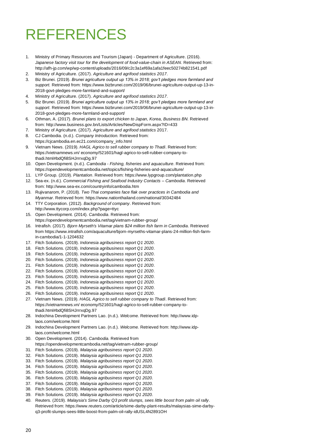## REFERENCES

- 1. Ministry of Primary Resources and Tourism (Japan) Department of Agriculture. (2016). *Japanese factory visit tour for the development of food-value-chain in ASEAN*. Retrieved from: <http://afh-jp.com/wp/wp-content/uploads/2016/09/c2c3a1ef69a1afa1feec50274b821541.pdf>
- 2. Ministry of Agriculture. (2017). *Agriculture and agrifood statistics 2017*.
- 3. Biz Brunei. (2019). *Brunei agriculture output up 13% in 2018; gov't pledges more farmland and support.* Retrieved from: [https://www.bizbrunei.com/2019/06/brunei-agriculture-output-up-13-in-](https://www.bizbrunei.com/2019/06/brunei-agriculture-output-up-13-in-2018-govt-pledges-more-farmland-and-support/)[2018-govt-pledges-more-farmland-and-support/](https://www.bizbrunei.com/2019/06/brunei-agriculture-output-up-13-in-2018-govt-pledges-more-farmland-and-support/)
- 4. Ministry of Agriculture. (2017). *Agriculture and agrifood statistics 2017*.
- 5. Biz Brunei. (2019). *Brunei agriculture output up 13% in 2018; gov't pledges more farmland and support*. Retrieved from: [https://www.bizbrunei.com/2019/06/brunei-agriculture-output-up-13-in-](https://www.bizbrunei.com/2019/06/brunei-agriculture-output-up-13-in-2018-govt-pledges-more-farmland-and-support/)[2018-govt-pledges-more-farmland-and-support/](https://www.bizbrunei.com/2019/06/brunei-agriculture-output-up-13-in-2018-govt-pledges-more-farmland-and-support/)
- 6. Othman, A. (2017). *Brunei plans to export chicken to Japan, Korea, Business BN.* Retrieved from: <http://www.business.gov.bn/Lists/Articles/NewDispForm.aspx?ID=433>
- 7. Ministry of Agriculture. (2017). *Agriculture and agrifood statistics* 2017. 8. CJ Cambodia. (n.d.). *Company Introduction.* Retrieved from:
- [https://cjcambodia.en.ec21.com/company\\_info.html](https://cjcambodia.en.ec21.com/company_info.html)
- 9. Vietnam News. (2019). *HAGL Agrico to sell rubber company to Thadi*. Retrieved from: https://vietnamnews.vn/ economy/521601/hagl-agrico-to-sell-rubber-company-tothadi.html#bdQfi8SHJrrrxqDg.97
- 10. Open Development. (n.d.). *Cambodia - Fishing, fisheries and aquaculture*. Retrieved from: <https://opendevelopmentcambodia.net/topics/fishing-fisheries-and-aquaculture/>
- 11. LYP Group. (2019). *Plantation*. Retrieved from: <https://www.lypgroup.com/plantation.php>
- 12. Sea-ex. (n.d.). *Commercial Fishing and Seafood Industry Contacts – Cambodia*. Retrieved from: http://www.sea-ex.com/countryinfo/cambodia.htm
- 13. Rujivanarom, P. (2018). *Two Thai companies face flak over practices in Cambodia and Myanmar*. Retrieved from:<https://www.nationthailand.com/national/30342484>
- 14. TTY Corporation. (2012). *Background of company*. Retrieved from: http://www.ttycorp.com/index.php?page=ttyc
- 15. Open Development. (2014). *Cambodia*. Retrieved from: <https://opendevelopmentcambodia.net/tag/vietnam-rubber-group/>
- 16. Intrafish. (2017). *Bjorn Myrseth's Vitamar plans \$24 million fish farm in Cambodia*. Retrieved from [https://www.intrafish.com/aquaculture/bjorn-myrseths-vitamar-plans-24-million-fish-farm](https://www.intrafish.com/aquaculture/bjorn-myrseths-vitamar-plans-24-million-fish-farm-in-cambodia/1-1-1204632)[in-cambodia/1-1-1204632](https://www.intrafish.com/aquaculture/bjorn-myrseths-vitamar-plans-24-million-fish-farm-in-cambodia/1-1-1204632)
- 17. Fitch Solutions. (2019). *Indonesia agribusiness report Q1 2020*.
- 18. Fitch Solutions. (2019). *Indonesia agribusiness report Q1 2020*.
- 19. Fitch Solutions. (2019). *Indonesia agribusiness report Q1 2020*.
- 20. Fitch Solutions. (2019). *Indonesia agribusiness report Q1 2020*.
- 21. Fitch Solutions. (2019). *Indonesia agribusiness report Q1 2020*.
- 22. Fitch Solutions. (2019). *Indonesia agribusiness report Q1 2020*.
- 23. Fitch Solutions. (2019). *Indonesia agribusiness report Q1 2020*.
- 24. Fitch Solutions. (2019). *Indonesia agribusiness report Q1 2020*.
- 25. Fitch Solutions. (2019). *Indonesia agribusiness report Q1 2020*.
- 26. Fitch Solutions. (2019). *Indonesia agribusiness report Q1 2020*.
- 27. Vietnam News. (2019). *HAGL Agrico to sell rubber company to Thadi*. Retrieved from: https://vietnamnews.vn/ economy/521601/hagl-agrico-to-sell-rubber-company-tothadi.html#bdQfi8SHJrrrxqDg.97
- 28. Indochina Development Partners Lao. (n.d.). *Welcome.* Retrieved from: [http://www.idp](http://www.idp-laos.com/welcome.html)[laos.com/welcome.html](http://www.idp-laos.com/welcome.html)
- 29. Indochina Development Partners Lao. (n.d.). *Welcome.* Retrieved from[: http://www.idp](http://www.idp-laos.com/welcome.html)[laos.com/welcome.html](http://www.idp-laos.com/welcome.html)
- 30. Open Development. (2014). *Cambodia.* Retrieved from <https://opendevelopmentcambodia.net/tag/vietnam-rubber-group/>
- 31. Fitch Solutions. (2019). *Malaysia agribusiness report Q1 2020.*
- 32. Fitch Solutions. (2019). *Malaysia agribusiness report Q1 2020.*
- 33. Fitch Solutions. (2019). *Malaysia agribusiness report Q1 2020.*
- 34. Fitch Solutions. (2019). *Malaysia agribusiness report Q1 2020.*
- 35. Fitch Solutions. (2019). *Malaysia agribusiness report Q1 2020.*
- 36. Fitch Solutions. (2019). *Malaysia agribusiness report Q1 2020.*
- 37. Fitch Solutions. (2019). *Malaysia agribusiness report Q1 2020.*
- 38. Fitch Solutions. (2019). *Malaysia agribusiness report Q1 2020.*
- 39. Fitch Solutions. (2019). *Malaysia agribusiness report Q1 2020.*
- 40. Reuters. (2019). *Malaysia's Sime Darby Q3 profit slumps, sees little boost from palm oil rally*. Retrieved from: [https://www.reuters.com/article/sime-darby-plant-results/malaysias-sime-darby](https://www.reuters.com/article/sime-darby-plant-results/malaysias-sime-darby-q3-profit-slumps-sees-little-boost-from-palm-oil-rally-idUSL4N2891OH)[q3-profit-slumps-sees-little-boost-from-palm-oil-rally-idUSL4N2891OH](https://www.reuters.com/article/sime-darby-plant-results/malaysias-sime-darby-q3-profit-slumps-sees-little-boost-from-palm-oil-rally-idUSL4N2891OH)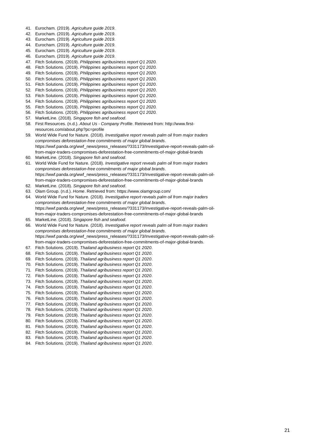- 41. Eurocham. (2019). *Agriculture guide 2019*.
- 42. Eurocham. (2019). *Agriculture guide 2019*.
- 43. Eurocham. (2019). *Agriculture guide 2019*.
- 44. Eurocham. (2019). *Agriculture guide 2019*.
- 45. Eurocham. (2019). *Agriculture guide 2019*.
- 46. Eurocham. (2019). *Agriculture guide 2019*.
- 47. Fitch Solutions. (2019). *Philippines agribusiness report Q1 2020.*
- 48. Fitch Solutions. (2019). *Philippines agribusiness report Q1 2020.*
- 49. Fitch Solutions. (2019). *Philippines agribusiness report Q1 2020.*
- 50. Fitch Solutions. (2019). *Philippines agribusiness report Q1 2020.*
- 51. Fitch Solutions. (2019). *Philippines agribusiness report Q1 2020*.
- 52. Fitch Solutions. (2019). *Philippines agribusiness report Q1 2020*.
- 53. Fitch Solutions. (2019). *Philippines agribusiness report Q1 2020.*
- 54. Fitch Solutions. (2019). *Philippines agribusiness report Q1 2020.*
- 55. Fitch Solutions. (2019). *Philippines agribusiness report Q1 2020.*
- 56. Fitch Solutions. (2019). *Philippines agribusiness report Q1 2020.*
- 57. MarketLine. (2018). *Singapore fish and seafood*.
- 58. First Resources. (n.d.). *About Us - Company Profile*. Retrieved from: http://www.firstresources.com/about.php?pc=profile
- 59. World Wide Fund for Nature. (2018). *Investigative report reveals palm oil from major traders compromises deforestation-free commitments of major global brands.* [https://wwf.panda.org/wwf\\_news/press\\_releases/?331173/Investigative-report-reveals-palm-oil](https://wwf.panda.org/wwf_news/press_releases/?331173/Investigative-report-reveals-palm-oil-from-major-traders-compromises-deforestation-free-commitments-of-major-global-brands)[from-major-traders-compromises-deforestation-free-commitments-of-major-global-brands](https://wwf.panda.org/wwf_news/press_releases/?331173/Investigative-report-reveals-palm-oil-from-major-traders-compromises-deforestation-free-commitments-of-major-global-brands)
- 60. MarketLine. (2018). *Singapore fish and seafood*.
- 61. World Wide Fund for Nature. (2018). *Investigative report reveals palm oil from major traders compromises deforestation-free commitments of major global brands.* [https://wwf.panda.org/wwf\\_news/press\\_releases/?331173/Investigative-report-reveals-palm-oil](https://wwf.panda.org/wwf_news/press_releases/?331173/Investigative-report-reveals-palm-oil-from-major-traders-compromises-deforestation-free-commitments-of-major-global-brands)[from-major-traders-compromises-deforestation-free-commitments-of-major-global-brands](https://wwf.panda.org/wwf_news/press_releases/?331173/Investigative-report-reveals-palm-oil-from-major-traders-compromises-deforestation-free-commitments-of-major-global-brands)
- 62. MarketLine. (2018). *Singapore fish and seafood*.
- 63. Olam Group. (n.d.). *Home*. Retrieved from: <https://www.olamgroup.com/>
- 64. World Wide Fund for Nature. (2018). *Investigative report reveals palm oil from major traders compromises deforestation-free commitments of major global brands.* [https://wwf.panda.org/wwf\\_news/press\\_releases/?331173/Investigative-report-reveals-palm-oil](https://wwf.panda.org/wwf_news/press_releases/?331173/Investigative-report-reveals-palm-oil-from-major-traders-compromises-deforestation-free-commitments-of-major-global-brands)[from-major-traders-compromises-deforestation-free-commitments-of-major-global-brands](https://wwf.panda.org/wwf_news/press_releases/?331173/Investigative-report-reveals-palm-oil-from-major-traders-compromises-deforestation-free-commitments-of-major-global-brands)
- 65. MarketLine. (2018). *Singapore fish and seafood*.

66. World Wide Fund for Nature. (2018). *Investigative report reveals palm oil from major traders compromises deforestation-free commitments of major global brands.* [https://wwf.panda.org/wwf\\_news/press\\_releases/?331173/Investigative-report-reveals-palm-oil](https://wwf.panda.org/wwf_news/press_releases/?331173/Investigative-report-reveals-palm-oil-from-major-traders-compromises-deforestation-free-commitments-of-major-global-brands)[from-major-traders-compromises-deforestation-free-commitments-of-major-global-brands.](https://wwf.panda.org/wwf_news/press_releases/?331173/Investigative-report-reveals-palm-oil-from-major-traders-compromises-deforestation-free-commitments-of-major-global-brands)

- 67. Fitch Solutions. (2019). *Thailand agribusiness report Q1 2020*.
- 68. Fitch Solutions. (2019). *Thailand agribusiness report Q1 2020*.
- 69. Fitch Solutions. (2019). *Thailand agribusiness report Q1 2020*.
- 70. Fitch Solutions. (2019). *Thailand agribusiness report Q1 2020*.
- 71. Fitch Solutions. (2019). *Thailand agribusiness report Q1 2020*.
- 72. Fitch Solutions. (2019). *Thailand agribusiness report Q1 2020*.
- 73. Fitch Solutions. (2019). *Thailand agribusiness report Q1 2020*.
- 74. Fitch Solutions. (2019). *Thailand agribusiness report Q1 2020*.
- 75. Fitch Solutions. (2019). *Thailand agribusiness report Q1 2020*.
- 76. Fitch Solutions. (2019). *Thailand agribusiness report Q1 2020*.
- 77. Fitch Solutions. (2019). *Thailand agribusiness report Q1 2020*.
- 78. Fitch Solutions. (2019). *Thailand agribusiness report Q1 2020*.
- 79. Fitch Solutions. (2019). *Thailand agribusiness report Q1 2020*.
- 80. Fitch Solutions. (2019). *Thailand agribusiness report Q1 2020*.
- 81. Fitch Solutions. (2019). *Thailand agribusiness report Q1 2020*.
- 82. Fitch Solutions. (2019). *Thailand agribusiness report Q1 2020*.
- 83. Fitch Solutions. (2019). *Thailand agribusiness report Q1 2020*.
- 84. Fitch Solutions. (2019). *Thailand agribusiness report Q1 2020*.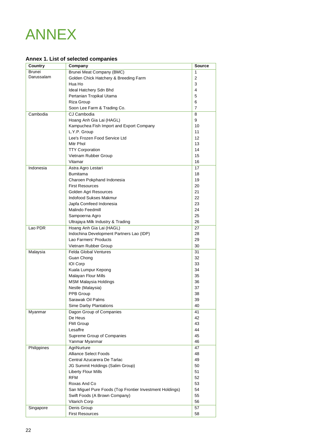## ANNEX

#### **Annex 1. List of selected companies**

| Country       | Company                                                  | <b>Source</b> |
|---------------|----------------------------------------------------------|---------------|
| <b>Brunei</b> | <b>Brunei Meat Company (BMC)</b>                         | 1             |
| Darussalam    | Golden Chick Hatchery & Breeding Farm                    | 2             |
|               | Hua Ho                                                   | 3             |
|               | Ideal Hatchery Sdn Bhd                                   | 4             |
|               | Pertanian Tropikal Utama                                 | 5             |
|               | Riza Group                                               | 6             |
|               | Soon Lee Farm & Trading Co.                              | 7             |
| Cambodia      | CJ Cambodia                                              | 8             |
|               | Hoang Anh Gia Lai (HAGL)                                 | 9             |
|               | Kampuchea Fish Import and Export Company                 | 10            |
|               | L.Y.P. Group                                             | 11            |
|               | Lee's Frozen Food Service Ltd                            | 12            |
|               | Mitr Phol                                                | 13            |
|               | <b>TTY Corporation</b>                                   | 14            |
|               | Vietnam Rubber Group                                     | 15            |
|               | Vitamar                                                  | 16            |
| Indonesia     | Astra Agro Lestari                                       | 17            |
|               | <b>Bumitama</b>                                          | 18            |
|               | Charoen Pokphand Indonesia                               | 19            |
|               | <b>First Resources</b>                                   | 20            |
|               | Golden Agri Resources                                    | 21            |
|               | Indofood Sukses Makmur                                   | 22            |
|               | Japfa Comfeed Indonesia                                  | 23            |
|               | <b>Malindo Feedmill</b>                                  | 24            |
|               | Sampoerna Agro                                           | 25            |
|               | Ultrajaya Milk Industry & Trading                        | 26            |
| Lao PDR       | Hoang Anh Gia Lai (HAGL)                                 | 27            |
|               | Indochina Development Partners Lao (IDP)                 | 28            |
|               | Lao Farmers' Products                                    | 29            |
|               |                                                          | 30            |
|               | Vietnam Rubber Group<br><b>Felda Global Ventures</b>     |               |
| Malaysia      |                                                          | 31            |
|               | Guan Chong                                               | 32            |
|               | <b>IOI Corp</b><br>Kuala Lumpur Kepong                   | 33<br>34      |
|               |                                                          | 35            |
|               | Malayan Flour Mills<br><b>MSM Malaysia Holdings</b>      | 36            |
|               |                                                          | 37            |
|               | Nestle (Malaysia)<br>PPB Group                           | 38            |
|               | Sarawak Oil Palms                                        | 39            |
|               |                                                          |               |
|               | Sime Darby Plantations                                   | 40            |
| Myanmar       | Dagon Group of Companies<br>De Heus                      | 41            |
|               | <b>FMI Group</b>                                         | 42            |
|               |                                                          | 43            |
|               | Lesaffre                                                 | 44            |
|               | Supreme Group of Companies                               | 45            |
|               | Yanmar Myanmar                                           | 46            |
| Philippines   | AgriNurture                                              | 47            |
|               | <b>Alliance Select Foods</b>                             | 48            |
|               | Central Azucarera De Tarlac                              | 49            |
|               | JG Summit Holdings (Salim Group)                         | 50            |
|               | Liberty Flour Mills                                      | 51            |
|               | <b>RFM</b>                                               | 52            |
|               | Roxas And Co                                             | 53            |
|               | San Miguel Pure Foods (Top Frontier Investment Holdings) | 54            |
|               | Swift Foods (A Brown Company)                            | 55            |
|               | <b>Vitarich Corp</b>                                     | 56            |
| Singapore     | Denis Group                                              | 57            |
|               | <b>First Resources</b>                                   | 58            |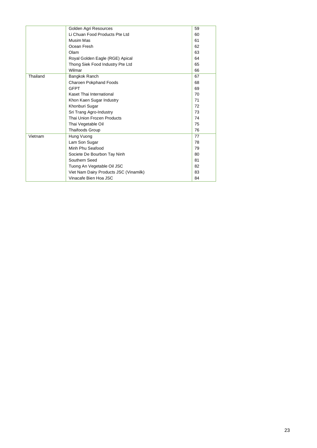|          | Golden Agri Resources                  | 59 |
|----------|----------------------------------------|----|
|          | Li Chuan Food Products Pte Ltd         | 60 |
|          | Musim Mas                              | 61 |
|          | Ocean Fresh                            | 62 |
|          | Olam                                   | 63 |
|          | Royal Golden Eagle (RGE) Apical        | 64 |
|          | Thong Siek Food Industry Pte Ltd       | 65 |
|          | Wilmar                                 | 66 |
| Thailand | Bangkok Ranch                          | 67 |
|          | <b>Charoen Pokphand Foods</b>          | 68 |
|          | <b>GFPT</b>                            | 69 |
|          | Kaset Thai International               | 70 |
|          | Khon Kaen Sugar Industry               | 71 |
|          | Khonburi Sugar                         | 72 |
|          | Sri Trang Agro-Industry                | 73 |
|          | Thai Union Frozen Products             | 74 |
|          | Thai Vegetable Oil                     | 75 |
|          | <b>Thaifoods Group</b>                 | 76 |
| Vietnam  | Hung Vuong                             | 77 |
|          | Lam Son Sugar                          | 78 |
|          | Minh Phu Seafood                       | 79 |
|          | Societe De Bourbon Tay Ninh            | 80 |
|          | Southern Seed                          | 81 |
|          | Tuong An Vegetable Oil JSC             | 82 |
|          | Viet Nam Dairy Products JSC (Vinamilk) | 83 |
|          | Vinacafe Bien Hoa JSC                  | 84 |